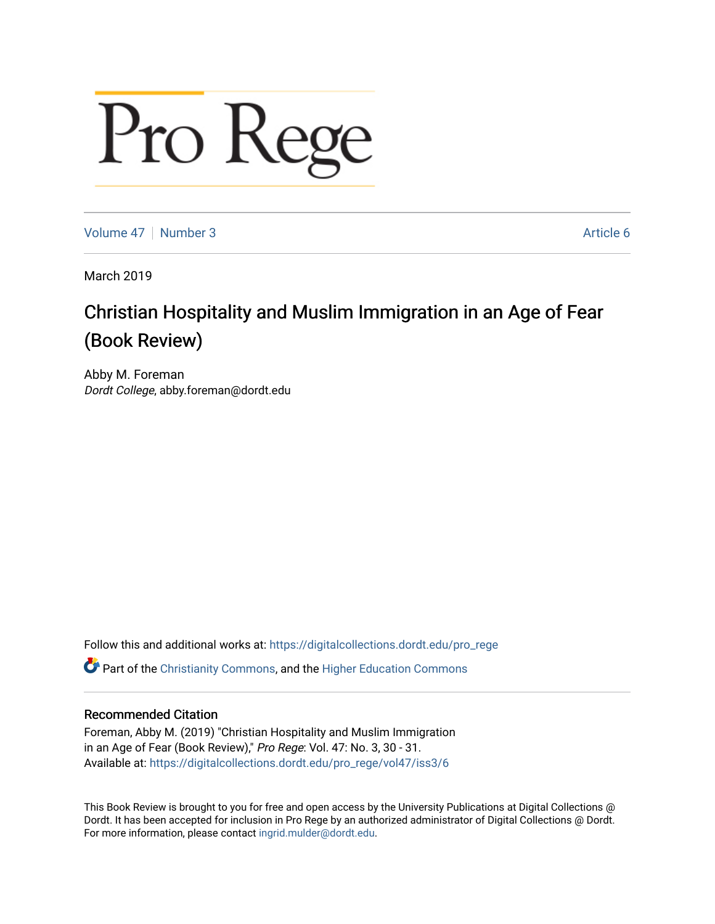## Pro Rege

[Volume 47](https://digitalcollections.dordt.edu/pro_rege/vol47) | [Number 3](https://digitalcollections.dordt.edu/pro_rege/vol47/iss3) Article 6

March 2019

## Christian Hospitality and Muslim Immigration in an Age of Fear (Book Review)

Abby M. Foreman Dordt College, abby.foreman@dordt.edu

Follow this and additional works at: [https://digitalcollections.dordt.edu/pro\\_rege](https://digitalcollections.dordt.edu/pro_rege?utm_source=digitalcollections.dordt.edu%2Fpro_rege%2Fvol47%2Fiss3%2F6&utm_medium=PDF&utm_campaign=PDFCoverPages) 

**C** Part of the [Christianity Commons,](http://network.bepress.com/hgg/discipline/1181?utm_source=digitalcollections.dordt.edu%2Fpro_rege%2Fvol47%2Fiss3%2F6&utm_medium=PDF&utm_campaign=PDFCoverPages) and the Higher Education Commons

## Recommended Citation

Foreman, Abby M. (2019) "Christian Hospitality and Muslim Immigration in an Age of Fear (Book Review)," Pro Rege: Vol. 47: No. 3, 30 - 31. Available at: [https://digitalcollections.dordt.edu/pro\\_rege/vol47/iss3/6](https://digitalcollections.dordt.edu/pro_rege/vol47/iss3/6?utm_source=digitalcollections.dordt.edu%2Fpro_rege%2Fvol47%2Fiss3%2F6&utm_medium=PDF&utm_campaign=PDFCoverPages) 

This Book Review is brought to you for free and open access by the University Publications at Digital Collections @ Dordt. It has been accepted for inclusion in Pro Rege by an authorized administrator of Digital Collections @ Dordt. For more information, please contact [ingrid.mulder@dordt.edu](mailto:ingrid.mulder@dordt.edu).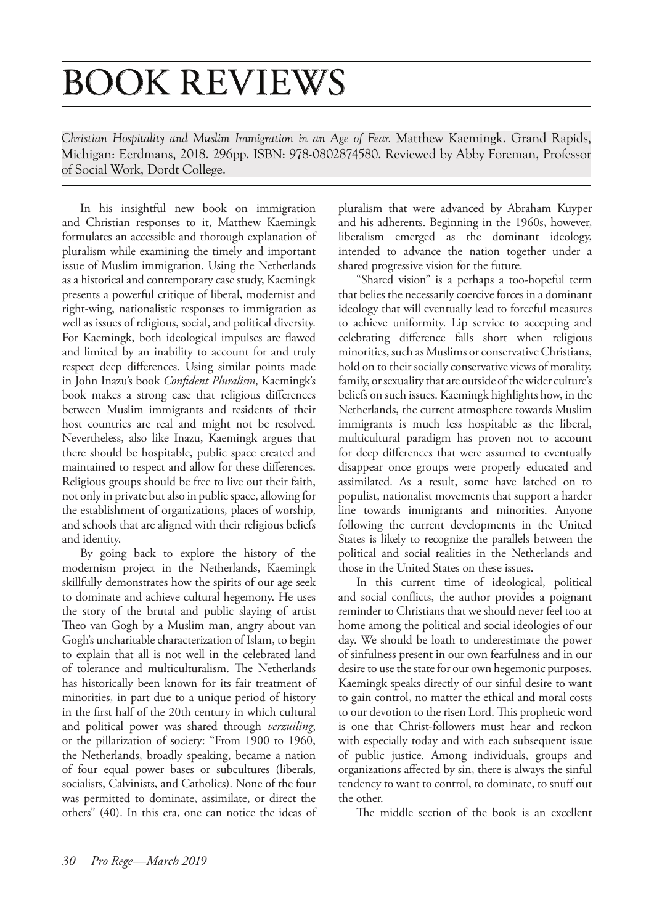## BOOK REVIEWS

*Christian Hospitality and Muslim Immigration in an Age of Fear.* Matthew Kaemingk. Grand Rapids, Michigan: Eerdmans, 2018. 296pp. ISBN: 978-0802874580. Reviewed by Abby Foreman, Professor of Social Work, Dordt College.

In his insightful new book on immigration and Christian responses to it, Matthew Kaemingk formulates an accessible and thorough explanation of pluralism while examining the timely and important issue of Muslim immigration. Using the Netherlands as a historical and contemporary case study, Kaemingk presents a powerful critique of liberal, modernist and right-wing, nationalistic responses to immigration as well as issues of religious, social, and political diversity. For Kaemingk, both ideological impulses are flawed and limited by an inability to account for and truly respect deep differences. Using similar points made in John Inazu's book *Confident Pluralism*, Kaemingk's book makes a strong case that religious differences between Muslim immigrants and residents of their host countries are real and might not be resolved. Nevertheless, also like Inazu, Kaemingk argues that there should be hospitable, public space created and maintained to respect and allow for these differences. Religious groups should be free to live out their faith, not only in private but also in public space, allowing for the establishment of organizations, places of worship, and schools that are aligned with their religious beliefs and identity.

By going back to explore the history of the modernism project in the Netherlands, Kaemingk skillfully demonstrates how the spirits of our age seek to dominate and achieve cultural hegemony. He uses the story of the brutal and public slaying of artist Theo van Gogh by a Muslim man, angry about van Gogh's uncharitable characterization of Islam, to begin to explain that all is not well in the celebrated land of tolerance and multiculturalism. The Netherlands has historically been known for its fair treatment of minorities, in part due to a unique period of history in the first half of the 20th century in which cultural and political power was shared through *verzuiling*, or the pillarization of society: "From 1900 to 1960, the Netherlands, broadly speaking, became a nation of four equal power bases or subcultures (liberals, socialists, Calvinists, and Catholics). None of the four was permitted to dominate, assimilate, or direct the others" (40). In this era, one can notice the ideas of

pluralism that were advanced by Abraham Kuyper and his adherents. Beginning in the 1960s, however, liberalism emerged as the dominant ideology, intended to advance the nation together under a shared progressive vision for the future.

"Shared vision" is a perhaps a too-hopeful term that belies the necessarily coercive forces in a dominant ideology that will eventually lead to forceful measures to achieve uniformity. Lip service to accepting and celebrating difference falls short when religious minorities, such as Muslims or conservative Christians, hold on to their socially conservative views of morality, family, or sexuality that are outside of the wider culture's beliefs on such issues. Kaemingk highlights how, in the Netherlands, the current atmosphere towards Muslim immigrants is much less hospitable as the liberal, multicultural paradigm has proven not to account for deep differences that were assumed to eventually disappear once groups were properly educated and assimilated. As a result, some have latched on to populist, nationalist movements that support a harder line towards immigrants and minorities. Anyone following the current developments in the United States is likely to recognize the parallels between the political and social realities in the Netherlands and those in the United States on these issues.

In this current time of ideological, political and social conflicts, the author provides a poignant reminder to Christians that we should never feel too at home among the political and social ideologies of our day. We should be loath to underestimate the power of sinfulness present in our own fearfulness and in our desire to use the state for our own hegemonic purposes. Kaemingk speaks directly of our sinful desire to want to gain control, no matter the ethical and moral costs to our devotion to the risen Lord. This prophetic word is one that Christ-followers must hear and reckon with especially today and with each subsequent issue of public justice. Among individuals, groups and organizations affected by sin, there is always the sinful tendency to want to control, to dominate, to snuff out the other.

The middle section of the book is an excellent